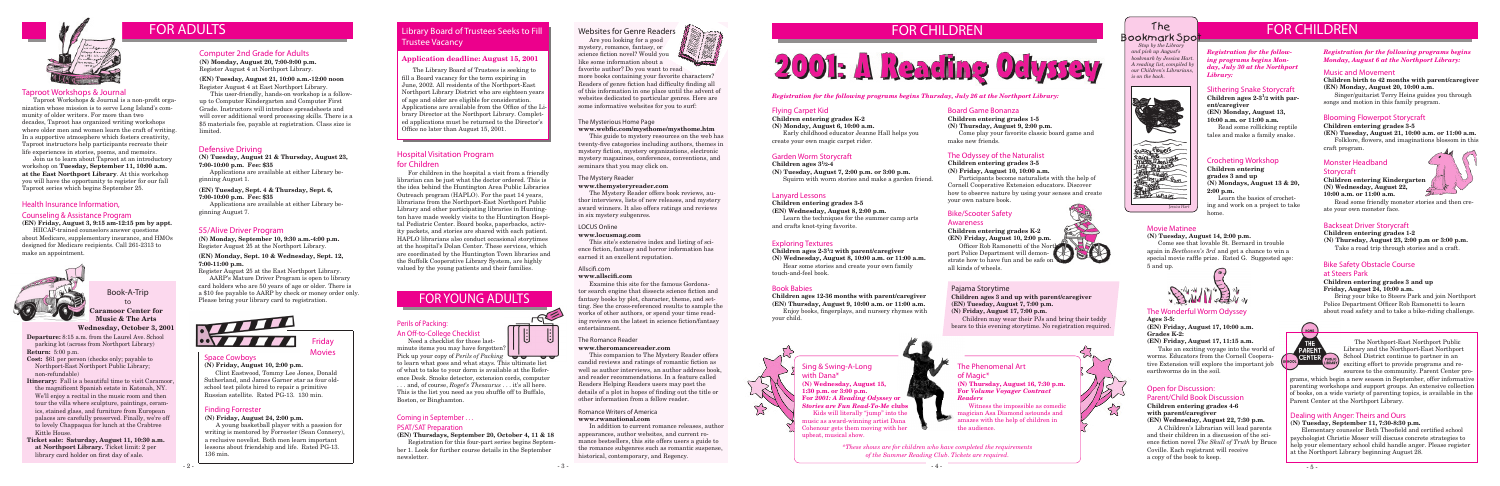#### Space Cowboys

**(N) Friday, August 10, 2:00 p.m.**

Clint Eastwood, Tommy Lee Jones, Donald Sutherland, and James Garner star as four oldschool test pilots hired to repair a primitive Russian satellite. Rated PG-13. 130 min.

Friday Movies





*Registration for the following programs begins Monday, July 30 at the Northport Library:*

#### Slithering Snake Storycraft

**Children ages 2-3<sup>1</sup> /2 with parent/caregiver (EN) Monday, August 13, 10:00 a.m. or 11:00 a.m.** Read some rollicking reptile

tales and make a family snake.

#### Crocheting Workshop

**Children entering grades 3 and up (N) Mondays, August 13 & 20, 2:00 p.m.**

Learn the basics of crocheting and work on a project to take home.

### 55/Alive Driver Program

**(N) Monday, September 10, 9:30 a.m.-4:00 p.m.** Register August 25 at the Northport Library.

#### **(EN) Monday, Sept. 10 & Wednesday, Sept. 12, 7:00-11:00 p.m.**

Register August 25 at the East Northport Library.

AARP's Mature Driver Program is open to library card holders who are 50 years of age or older. There is a \$10 fee payable to AARP by check or money order only. Please bring your library card to registration.



### Blooming Flowerpot Storycraft

#### **Children entering grades 3-5**

**(EN) Tuesday, August 21, 10:00 a.m. or 11:00 a.m.** Folklore, flowers, and imaginations blossom in this craft program.

#### Monster Headband

#### **Storycraft**

**Children entering Kindergarten (N) Wednesday, August 22, 10:00 a.m. or 11:00 a.m.**

Read some friendly monster stories and then create your own monster face.

#### Defensive Driving

**(N) Tuesday, August 21 & Thursday, August 23, 7:00-10:00 p.m. Fee: \$35** 

Applications are available at either Library beginning August 1.

**(EN) Tuesday, Sept. 4 & Thursday, Sept. 6, 7:00-10:00 p.m. Fee: \$35** 

## The Bookmark Spo<mark>t</mark>

Applications are available at either Library beginning August 7.

## Computer 2nd Grade for Adults

**(N) Monday, August 20, 7:00-9:00 p.m.** Register August 4 at Northport Library.

**(EN) Tuesday, August 21, 10:00 a.m.-12:00 noon** Register August 4 at East Northport Library.

This user-friendly, hands-on workshop is a followup to Computer Kindergarten and Computer First Grade. Instructors will introduce spreadsheets and will cover additional word processing skills. There is a \$5 materials fee, payable at registration. Class size is limited.

#### Movie Matinee

**(N) Tuesday, August 14, 2:00 p.m.** 

Come see that lovable St. Bernard in trouble again in *Beethoven's 3rd* and get a chance to win a special movie raffle prize. Rated G. Suggested age: 5 and up.



Bring your bike to Steers Park and join Northport Police Department Officer Rob Ramonetti to learn The Wonderful Worm Odyssey about road safety and to take a bike-riding challenge.



**Departure:** 8:15 a.m. from the Laurel Ave. School parking lot (across from Northport Library) **Return:** 5:00 p.m.

**Cost:** \$61 per person (checks only; payable to Northport-East Northport Public Library; non-refundable)

**Itinerary:** Fall is a beautiful time to visit Caramoor, the magnificent Spanish estate in Katonah, NY. We'll enjoy a recital in the music room and then tour the villa where sculpture, paintings, ceramics, stained glass, and furniture from European palaces are carefully preserved. Finally, we're off to lovely Chappaqua for lunch at the Crabtree Kittle House.

Children ages  $3<sup>1</sup>/2-4$ **(N) Tuesday, August 7, 2:00 p.m. or 3:00 p.m.** Squirm with worm stories and make a garden friend.

**Ticket sale: Saturday, August 11, 10:30 a.m. at Northport Library.** Ticket limit: 2 per library card holder on first day of sale.

#### Book-A-Trip to **Caramoor Center for Music & The Arts Wednesday, October 3, 2001**

# FOR YOUNG ADULTS

 *Stop by the Library and pick up August's bookmark by Jessica Hart. A reading list, compiled by our Children's Librarians, is on the back.*

Officer Rob Ramonetti of the Northport Police Department will demonstrate how to have fun and be safe on all kinds of wheels.



#### Finding Forrester

**(N) Friday, August 24, 2:00 p.m.**

A young basketball player with a passion for writing is mentored by Forrester (Sean Connery), a reclusive novelist. Both men learn important lessons about friendship and life. Rated PG-13. 136 min.



# FOR ADULTS

#### Open for Discussion: Parent/Child Book Discussion **Children entering grades 4-6**

#### **with parent/caregiver (EN) Wednesday, August 22, 7:30 p.m.**

A Children's Librarian will lead parents and their children in a discussion of the science fiction novel *The Skull of Truth* by Bruce Coville. Each registrant will receive a copy of the book to keep.

## Coming in September . . .

#### PSAT/SAT Preparation

*Stories are Fun Read-To-Me* **clubs** Kids will literally "jump" into the

**(EN) Thursdays, September 20, October 4, 11 & 18** Registration for this four-part series begins September 1. Look for further course details in the September newsletter.

#### *Registration for the following programs begins Monday, August 6 at the Northport Library:*

#### Music and Movement

**Children birth to 42 months with parent/caregiver (EN) Monday, August 20, 10:00 a.m.** 

Singer/guitarist Terry Heins guides you through songs and motion in this family program.

#### Backseat Driver Storycraft

#### **Children entering grades 1-2**

**(N) Thursday, August 23, 2:00 p.m or 3:00 p.m.** Take a road trip through stories and a craft.

### Bike Safety Obstacle Course

#### at Steers Park

#### **Children entering grades 3 and up Friday, August 24, 10:00 a.m.**

#### **Ages 3-5:**

**(EN) Friday, August 17, 10:00 a.m. Grades K-2:** 

#### **(EN) Friday, August 17, 11:15 a.m.**

Take an exciting voyage into the world of worms. Educators from the Cornell Cooperative Extension will explore the important job earthworms do in the soil.

#### Exploring Textures

**Children ages 2-3<sup>1</sup> /2 with parent/caregiver (N) Wednesday, August 8, 10:00 a.m. or 11:00 a.m.**

Hear some stories and create your own family touch-and-feel book.

#### *Registration for the following programs begins Thursday, July 26 at the Northport Library:*

#### Flying Carpet Kid

**Children entering grades K-2 (N) Monday, August 6, 10:00 a.m.** Early childhood educator Jeanne Hall helps you

create your own magic carpet rider.

#### Garden Worm Storycraft

#### Lanyard Lessons

**Children entering grades 3-5 (EN) Wednesday, August 8, 2:00 p.m.** Learn the techniques for the summer camp arts and crafts knot-tying favorite.

#### Book Babies

**Children ages 12-36 months with parent/caregiver (EN) Thursday, August 9, 10:00 a.m. or 11:00 a.m.** Enjoy books, fingerplays, and nursery rhymes with your child.

#### Board Game Bonanza

**Children entering grades 1-5 (N) Thursday, August 9, 2:00 p.m.**

## **Library Board of Trustees Seeks to Fill** Trustee Vacancy

Come play your favorite classic board game and make new friends.

#### The Odyssey of the Naturalist

**Children entering grades 3-5 (N) Friday, August 10, 10:00 a.m.**

Participants become naturalists with the help of Cornell Cooperative Extension educators. Discover how to observe nature by using your senses and create your own nature book.

#### Bike/Scooter Safety

#### Awareness

**Children entering grades K-2 (EN) Friday, August 10, 2:00 p.m.**

> The Northport-East Northport Public Library and the Northport-East Northport **CENTER** FUBLIC School District continue to partner in an LIBRARY exciting effort to provide programs and resources to the community. Parent Center pro-

grams, which begin a new season in September, offer informative parenting workshops and support groups. An extensive collection of books, on a wide variety of parenting topics, is available in the Parent Center at the Northport Library.

#### Dealing with Anger: Theirs and Ours

#### **(N) Tuesday, September 11, 7:30-8:30 p.m.**

Elementary counselor Beth Theofield and certified school psychologist Christie Moser will discuss concrete strategies to help your elementary school child handle anger. Please register at the Northport Library beginning August 28.

#### Taproot Workshops & Journal

Taproot Workshops & Journal is a non-profit organization whose mission is to serve Long Island's community of older writers. For more than two decades, Taproot has organized writing workshops where older men and women learn the craft of writing. In a supportive atmosphere which fosters creativity, Taproot instructors help participants recreate their life experiences in stories, poems, and memoirs.

Join us to learn about Taproot at an introductory workshop on **Tuesday, September 11, 10:00 a.m. at the East Northport Library**. At this workshop you will have the opportunity to register for our fall Taproot series which begins September 25.

> Sing & Swing-A-Long with Dana\* **(N) Wednesday, August 15, 1:30 p.m. or 3:00 p.m. For** *2001: A Reading Odyssey* **or**

music as award-winning artist Dana Cohenour gets them moving with her upbeat, musical show.

The Phenomenal Art of Magic\* **(N) Thursday, August 16, 7:30 p.m. For** *Volume Voyager Contract Readers*

Witness the impossible as comedic magician Asa Diamond astounds and amazes with the help of children in the audience.

*\*These shows are for children who have completed the requirements of the Summer Reading Club. Tickets are required.*





— 2 — Политика Саветска и Саветска и Саветска и Саветска и Саветска и Саветска и Саветска и Саветска и Саветск<br>Политика Саветска и Саветска и Саветска и Саветска и Саветска и Саветска и Саветска и Саветска и Саветска и Са

#### The Mysterious Home Page

#### **www.webfic.com/mysthome/mysthome.htm**

This guide to mystery resources on the web has twenty-five categories including authors, themes in mystery fiction, mystery organizations, electronic mystery magazines, conferences, conventions, and seminars that you may click on.

#### The Mystery Reader

#### **www.themysteryreader.com**

The Mystery Reader offers book reviews, author interviews, lists of new releases, and mystery award winners. It also offers ratings and reviews in six mystery subgenres.

#### LOCUS Online

#### **www.locusmag.com**

This site's extensive index and listing of science fiction, fantasy and horror information has earned it an excellent reputation.

#### Allscifi.com **www.allscifi.com**

Examine this site for the famous Gordonator search engine that dissects science fiction and fantasy books by plot, character, theme, and setting. See the cross-referenced results to sample the works of other authors, or spend your time reading reviews on the latest in science fiction/fantasy entertainment.

#### The Romance Reader **www.theromancereader.com**

This companion to The Mystery Reader offers candid reviews and ratings of romantic fiction as well as author interviews, an author address book, and reader recommendations. In a feature called Readers Helping Readers users may post the details of a plot in hopes of finding out the title or other information from a fellow reader.

#### Romance Writers of America **www.rwanational.com**

In addition to current romance releases, author appearances, author websites, and current romance bestsellers, this site offers users a guide to the romance subgenres such as romantic suspense, historical, contemporary, and Regency.

# FOR CHILDREN And The The The The FOR CHILDREN



### Hospital Visitation Program for Children

For children in the hospital a visit from a friendly librarian can be just what the doctor ordered. This is the idea behind the Huntington Area Public Libraries Outreach program (HAPLO). For the past 14 years, librarians from the Northport-East Northport Public Library and other participating libraries in Huntington have made weekly visits to the Huntington Hospital Pediatric Center. Board books, paperbacks, activity packets, and stories are shared with each patient. HAPLO librarians also conduct occasional storytimes at the hospital's Dolan Center. These services, which are coordinated by the Huntington Town libraries and the Suffolk Cooperative Library System, are highly valued by the young patients and their families.

#### Websites for Genre Readers

Are you looking for a good mystery, romance, fantasy, or science fiction novel? Would you like some information about a



favorite author? Do you want to read more books containing your favorite characters? Readers of genre fiction had difficulty finding all of this information in one place until the advent of websites dedicated to particular genres. Here are some informative websites for you to surf:

#### Perils of Packing: An Off-to-College Checklist

Need a checklist for those last-



Pick up your copy of *Perils of Packing*  to learn what goes and what stays. This ultimate list of what to take to your dorm is available at the Reference Desk. Smoke detector, extension cords, computer . . . and, of course, *Roget's Thesaurus* . . . it's all here. This is the list you need as you shuffle off to Buffalo, Boston, or Binghamton.

#### Health Insurance Information,

#### Counseling & Assistance Program

**(EN) Friday, August 3, 9:15 am-12:15 pm by appt.**

HIICAP-trained counselors answer questions about Medicare, supplementary insurance, and HMOs designed for Medicare recipients. Call 261-2313 to make an appointment.



#### **Application deadline: August 15, 2001**

The Library Board of Trustees is seeking to fill a Board vacancy for the term expiring in June, 2002. All residents of the Northport-East Northport Library District who are eighteen years of age and older are eligible for consideration. Applications are available from the Office of the Library Director at the Northport Library. Completed applications must be returned to the Director's Office no later than August 15, 2001.

#### Pajama Storytime

**Children ages 3 and up with parent/caregiver (EN) Tuesday, August 7, 7:00 p.m. (N) Friday, August 17, 7:00 p.m.**

Children may wear their PJs and bring their teddy bears to this evening storytime. No registration required.